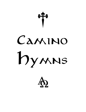

# CAMINO Hymns

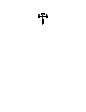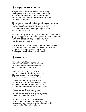# **C**<sup>#</sup> A Mighty Fortress Is Our God

A mighty fortress is our God, a bulwark never failing; Our helper He amid the flood, of mortal ills prevailing. For still our ancient foe, doth seek to work us woe; His craft and power are great, and armed with cruel hate, On Earth is not his equal.

Did we in our own strength confide, our striving would be losing, Were not the right man on our side, the man of God's own choosing. Dost ask who that may be? Christ Jesus, it is He; Lord Sabbaoth, His name, from age to age the same, And He must win the battle.

And though this world, with devils filled, should threaten to undo us, We will not fear, for God hath willed, His truth to triumph through us. The Prince of Darkness grim, we tremble not for him; His rage we can endure, for lo, his doom is sure; One little word shall fell him.

That word above all earthly powers, no thanks to them abideth; The Spirit and the gifts are ours, thru Him who with us sideth. Let goods and kindred go, this mortal life also; The body they may kill; God's truth abideth still; His kingdom is forever.

#### **f**<sup>#</sup> Abide With Me

Abide with me; fast falls the eventide; The darkness deepens; Lord, with me abide. When other helpers fail and comforts flee, Help of the helpless, O abide with me.

Swift to its close ebbs out life's little day; Earth's joys grow dim; its glories pass away; Change and decay in all around I see; O thou who changest not, abide with me.

I need Thy presence every passing hour. What but Thy grace can foil the tempter's power? Who, like Thyself, my guide and stay can be? Through cloud and sunshine, Lord, abide with me.

I fear no foe, with Thee at hand to bless; Ills have no weight, and tears not bitterness. Where is death's sting? Where, grave, thy victory? I triumph still, if thou abide with me.

Hold thou Thy cross before my closing eyes; Shine through the gloom and point me to the skies. Heaven's morning breaks, and earth's vain shadows flee; In life, in death, O Lord, abide with me.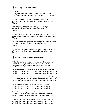## **T** All Glory Laud And Honor

Refrain:

 All glory, laud, and honor, to Thee, Redeemer, King, To whom the lips of children, made sweet hosannas ring.

Thou art the King of Israel, thou David's royal Son, Who in the Lord's name comest, the King and Blessed One. (Refrain)

The company of angels, are praising Thee on high, And we with all creation, in chorus make reply. (Refrain)

The people of the Hebrews, with psalms before Thee went; Our prayer and praise and anthems, before Thee we present. (Refrain)

To Thee, before Thy passion, they sang their hymns of praise; To Thee, now high exalted, our melody we raise. (Refrain)

Thou didst accept their praises; accept the prayers we bring, Who in all good delightest, thou good and gracious King. (Refrain)

#### *T***<sup>+</sup>** All Hail The Power Of Jesus Name

All hail the power of Jesus' name! Let angels prostrate fall; Bring forth the royal diadem, and crown him Lord of all. Bring forth the royal diadem, and crown him Lord of all.

Ye chosen seed of Israel's race, ye ransomed from the fall, Hail him who saves you by His grace, and crown him Lord of all. Hail him who saves you by His grace, and crown him Lord of all.

Sinners, whose love can ne'er forget, the wormwood and the gall, Go spread your trophies at His feet, and crown him Lord of all. Go spread your trophies at His feet, and crown him Lord of all.

Let every kindred, every tribe, on this terrestrial ball, To him all majesty ascribe, and crown him Lord of all. To him all majesty ascribe, and crown him Lord of all.

Crown him, ye martyrs of your God, who from His altar call; Extol the Stem of Jesse's Rod, and crown him Lord of all. Extol the Stem of Jesse's Rod, and crown him Lord of all.

O that with yonder sacred throng, we at His feet may fall! We'll join the everlasting song, and crown him Lord of all. We'll join the everlasting song, and crown him Lord of all.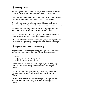# **T** Amazing Grace

Amazing grace! How sweet the sound, that saved a wretch like me! I once was lost, but now am found; was blind, but now I see.

'Twas grace that taught my heart to fear, and grace my fears relieved; How precious did that grace appear, the hour I first believed.

Through many dangers, toils, and snares, I have already come; 'Tis grace hath brought me safe thus far, and grace will lead me home.

The Lord has promised good to me, His word my hope secures; He will my shield and portion be, as long as life endures.

Yea, when this flesh and heart shall fail, and mortal life shall cease, I shall possess, within the veil, a life of joy and peace.

When we've been there ten thousand years, bright shining as the sun, We've no less days to sing God's praise, than when we first begun.

## *T* Angels From The Realms of Glory

Angels from the realms of glory, wing your flight o'er all the earth; Ye who sang creation's story, now proclaim Messiah's birth:

 Refrain: Come and worship, come and worship, worship Christ, the newborn king.

Shepherds in the field abiding, watching o'er your flocks by night, God with us is now residing; yonder shines the infant light: (Refrain)

Sages, leave your contemplations, brighter visions beam afar; Seek the great Desire of nations; ye have seen His natal star: (Refrain)

Saints, before the altar bending, watching long in hope and fear; Suddenly the Lord descending, in His temple shall appear: (Refrain)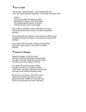# **f** Are Ye Able

"Are ye able," said the Master, "to be crucified with me?" "Yea," the sturdy dreamers answered, "to the death we follow Thee."

 Refrain: Lord, we are able. Our spirits are thine. Remold them, make us, like Thee, divine. Thy guiding radiance above us shall be a beacon to God, to love, and loyalty.

Are ye able to remember, when a thief lifts up his eyes, That his pardoned soul is worthy, of a place in paradise? (Refrain)

Are ye able when the shadows, close around you with the sod, To believe that spirit triumphs, to commend your soul to God? (Refrain)

Are ye able? Still the Master, whispers down eternity, And heroic spirits answer, now as then in Galilee. (Refrain)

## **T** Away In A Manger

Away in a manger, no crib for a bed, The little Lord Jesus laid down His sweet head. The stars in the sky looked down where He lay, The little Lord Jesus, asleep on the hay.

The cattle are lowing, the baby awakes, But little Lord Jesus, no crying He makes; I love Thee, Lord Jesus, look down from the sky And stay by my cradle till morning is nigh.

Be near me, Lord Jesus, I ask Thee to stay Close by me forever, and love me, I pray; Bless all the dear children in Thy tender care, And fit us for heaven to live with Thee there.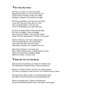## **T** Be Thou My Vision

Be Thou my Vision, O Lord of my heart; Naught be all else to me, save that Thou art. Thou my best Thought, by day or by night, Waking or sleeping, Thy presence my light.

Be Thou my Wisdom, and Thou my true Word; I ever with Thee and Thou with me, Lord; Thou my great Father, I Thy true son; Thou in me dwelling, and I with Thee one.

Be Thou my battle Shield, Sword for the fight; Be Thou my Dignity, Thou my Delight; Thou my soul's Shelter, Thou my high Tower: Raise Thou me heavenward, O Power of my power.

Riches I heed not, nor man's empty praise, Thou mine Inheritance, now and always: Thou and Thou only, first in my heart, High King of Heaven, my Treasure Thou art.

High King of Heaven, my victory won, May I reach Heaven's joys, O bright Heaven's Sun! Heart of my own heart, whatever befall, Still be my Vision, O Ruler of all.

#### **T** Blest Be The Tie That Binds

Blest be the tie that binds, our hearts in Christian love; The fellowship of kindred minds, is like to that above.

Before our Father's throne, we pour our ardent prayers; Our fears our hopes our aims are one, our comforts and our cares.

We share each other's woes, our mutual burdens bear; And often for each other flows, the sympathizing tear.

When we asunder part, it gives us inward pain; But we shall still be joined in heart, and hope to meet again.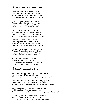## **T** Christ The Lord Is Risen Todav

Christ the Lord is risen today, Alleluia! Earth and heaven in chorus say, Alleluia! Raise your joys and triumphs high, Alleluia! Sing, ye heavens, and earth reply, Alleluia!

Love's redeeming work is done, Alleluia! Fought the fight the battle won, Alleluia! Death in vain forbids him rise, Alleluia! Christ has opened paradise, Alleluia!

Lives again our glorious King, Alleluia! Where O death is now thy sting? Alleluia! Once He died our souls to save, Alleluia! Where's thy victory boasting grave? Alleluia!

Soar we now where Christ has led, Alleluia! Following our exalted Head, Alleluia! Made like him like him we rise, Alleluia! Ours the cross the grave the skies, Alleluia!

Hail the Lord of earth and heaven, Alleluia! Praise to Thee by both be given, Alleluia! Thee we greet triumphant now, Alleluia! Hail the Resurrection thou, Alleluia!

King of glory, soul of bliss, Alleluia! Everlasting life is this, Alleluia! Thee to know Thy power to prove, Alleluia! Thus to sing and thus to love, Alleluia!

#### **T** Come Thou Almighty King

Come thou almighty King, help us Thy name to sing, Help us to praise! Father all glorious, O'er all victorious, come and reign over us, Ancient of Days!

Come thou incarnate Word, gird on thy mighty sword, Our prayer attend! Come, and Thy people bless, And give Thy word success, Spirit of holiness, on us descend!

Come holy Comforter, Thy sacred witness bear In this glad hour. Thou who almighty art, Now rule in every heart, and ne'er from us depart, Spirit of power!

To Thee, great One in Three, eternal praises be, Hence evermore. Thy sovereign majesty May we in glory see, and to eternity, love and adore!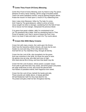# **T**<sup>2</sup> Come Thou Fount Of Every Blessing

Come thou Fount of every blessing, tune my heart to sing Thy grace; Streams of mercy never ceasing, call for songs of loudest praise. Teach me some melodious sonnet, sung by flaming tongues above. Praise the mount! I'm fixed upon it, mount of Thy redeeming love.

Here I raise mine Ebenezer; hither by Thy help I'm come; And I hope by Thy good pleasure, safely to arrive at home. Jesus sought me when a stranger, wandering from the fold of God; He to rescue me from danger, interposed His precious blood.

O to grace how great a debtor, daily I'm constrained to be! Let Thy goodness like a fetter, bind my wandering heart to Thee. Prone to wander Lord I feel it, prone to leave the God I love; Here's my heart O take and seal it, seal it for Thy courts above.

#### **T** Crown Him With Many Crowns

Crown him with many crowns, the Lamb upon His throne, Hark! how the heavenly anthem drowns, all music but its own. Awake my soul and sing, of him who died for thee, And hail him as Thy matchless King, through all eternity.

Crown him the Lord of life, who triumphed o'er the grave, And rose victorious in the strife, for those He came to save. His glories now we sing, who died and rose on high, Who died eternal life to bring, and lives that death may die.

Crown him the Lord of peace, whose power a scepter sways From pole to pole that wars may cease, and all be prayer and praise. His reign shall know no end, and round His pierced feet Fair flowers of paradise extend, their fragrance ever sweet.

Crown him the Lord of love; behold His hands and side, Those wounds yet visible above, in beauty glorified. All hail Redeemer hail! For thou hast died for me; Thy praise and glory shall not fail, throughout eternity.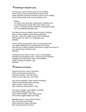## *T* Dwelling in Beulah Land

Far away the noise of strife, upon my ear is falling, Then I know the sins of earth beset on every hand. Doubt and fear and things of earth in vain to me are calling, None of these shall move me from Beulah Land.

Refrain:

 I'm living on the mountain, underneath a cloudless sky. I'm drinking at the fountain that never shall run dry. O yes! I'm feasting on the manna from a bountiful supply, For I am dwelling in Beulah Land.

Far below the storm of doubt, upon the world is beating, Sons of men in battle long the enemy withstand. Safe am I within the castle of God's Word retreating. Nothing then can reach me, 'tis Beulah Land. (Refrain)

Let the stormy breezes blow, their cry cannot alarm me; I am safely sheltered here, protected by God's hand. Here the sun is always shining, here there's naught can harm me. I am safe forever in Beulah Land. (Refrain)

Viewing here the works of God, I sink in contemplation. Hearing now His blessed voice, I see the way He planned. Dwelling in the Spirit here I learn of full salvation. Gladly I will tarry in Beulah Land. (Refrain)

#### R**Fairest Lord Jesus**

Fairest Lord Jesus, ruler of all nature, O thou of God and man the Son, Thee will I cherish, Thee will I honor, Thou my soul's glory, joy, and crown.

Fair are the meadows, fairer still the woodlands, Robed in the blooming garb of spring: Jesus is fairer, Jesus is purer Who makes the woeful heart to sing.

Fair is the sunshine, fairer still the moonlight, And all the twinkling starry host: Jesus shines brighter, Jesus shines purer Than all the angels heaven can boast.

Beautiful Savior! Lord of all the nations! Son of God and Son of Man! Glory and honor, praise, adoration, Now and forevermore be thine.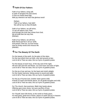## **f** Faith Of Our Fathers

Faith of our fathers, living still, In spite of dungeon fire and sword; O how our hearts beat high, With joy whene'er we hear that glorious word!

 Refrain: Faith of our fathers, holy faith! We will be true to thee till death.

Faith of our fathers, we will strive, To win all nations unto Thee; And through the truth that comes from God, We all shall then be truly free. (Refrain)

Faith of our fathers, we will love, Both friend and foe in all our strife; And preach Thee too, as love knows How by kindly words and virtuous life. (Refrain)

#### **T** For The Beauty Of The Earth

For the beauty of the earth, for the glory of the skies, For the love which from our birth, over and around us lies; Lord of all to Thee we raise, this our hymn of grateful praise.

For the beauty of each hour, of the day and of the night, Hill and vale and tree and flower, sun and moon and stars of light; Lord of all to Thee we raise, this our hymn of grateful praise.

For the joy of ear and eye, for the heart and mind's delight, For the mystic harmony, linking sense to sound and sight; Lord of all to Thee we raise, this our hymn of grateful praise.

For the joy of human love, brother sister parent child, Friends on earth and friends above, for all gentle thoughts and mild; Lord of all to Thee we raise, this our hymn of grateful praise.

For Thy church, that evermore, lifteth holy hands above, Offering upon every shore, her pure sacrifice of love; Lord of all to Thee we raise, this our hymn of grateful praise.

For Thyself, best Gift Divine, to the world so freely given, For that great, great love of thine, peace on earth and joy in heaven: Lord of all to Thee we raise, this our hymn of grateful praise.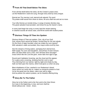## **T** From All That Dwell Below The Skies

From all that dwell below the skies, let the Creator's praise arise; Let the Redeemer's name be sung, through every land by every tongue.

Eternal are Thy mercies Lord; eternal truth attends Thy word. Thy praise shall sound from shore to shore, till suns shall rise and set no more.

Your lofty themes ye mortals bring, in songs of praise divinely sing; The great salvation loud proclaim, and shout for joy the Savior's name.

In every land begin the song; to every land the strains belong; In cheerful sounds all voices raise, and fill the world with loudest praise.

#### **T** Glorious Things Of Thee Are Spoken

Glorious things of Thee are spoken, Zion, city of our God; God, whose word cannot be broken, formed thee for His own abode. On the Rock of Ages founded, what can shake thy sure repose? With salvation's walls surrounded, thou mayst smile at all thy foes.

See the streams of living waters, springing from eternal love, Well supply Thy sons and daughters, and all fear of want remove. Who can faint while such a river, ever will their thirst assuage? Grace which like the Lord the giver, never fails from age to age.

Round each habitation hovering, see the cloud and fire appear, For a glory and a covering, showing that the Lord is near! Thus deriving from our banner, light by night and shade by day, Safe we feed upon the manna, which God gives us when we pray.

Blest inhabitants of Zion, washed in our Redeemer's blood; Jesus whom our souls rely on, makes us monarchs priests to God. Us by His great love He raises, rulers over self to reign, And as priests His solemn praises, we for thankful offering bring.

#### **T** Glory Be To The Father

Glory be to the Father and to the Son and to the Holy Ghost; As it was in the beginning, is now, and ever shall be, World without end. Amen. Amen.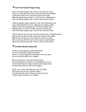# **T** Hark The Herald Angels Sing

Hark! the herald angels sing, "Glory to the new born King, Peace on earth and mercy mild, God and sinners reconciled!" Joyful all ye nations rise, join the triumph of the skies; With the angelic host proclaim, "Christ is born in Bethlehem!" Hark! the herald angels sing, "Glory to the new born King!"

Christ by highest heaven adored; Christ, the everlasting Lord; Late in time behold him come, offspring of a virgin's womb. Veiled in flesh the Godhead see; hail the incarnate Deity, Pleased with us in flesh to dwell, Jesus our Emmanuel. Hark! the herald angels sing, "Glory to the new born King!"

Hail the heaven-born Prince of Peace! Hail the Sun of Righteousness! Light and life to all He brings, risen with healing in His wings. Mild He lays His glory by, born that we no more may die, Born to raise us from the earth, born to give us second birth. Hark! the herald angels sing, "Glory to the new born King!"

#### **f**<sup>#</sup> He Who Would Valiant Be

He who would valiant be 'gainst all disaster, Let him in constancy follow the Master. There's no discouragement shall make him once relent His first avowed intent to be a pilgrim.

Who so beset him round with dismal stories Do but themselves confound—his strength the more is. No foes shall stay his might; though he with giants fight, He will make good his right to be a pilgrim.

Since, Lord, Thou dost defend us with Thy Spirit, We know we at the end, shall life inherit. Then fancies flee away! I'll fear not what men say, I'll labor night and day to be a pilgrim.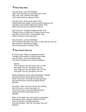## **Fr** Holy Holy Holy

Holy holy holy! Lord God Almighty! Early in the morning our song shall rise to Thee. Holy, holy, holy! Merciful and mighty, God in three persons, blessed Trinity!

Holy holy holy! All the saints adore Thee, Casting down their golden crowns around the glassy sea; Cherubim and seraphim falling down before Thee, Which wert and art, and evermore shallt be.

Holy holy holy! Though the darkness hide Thee, Though the eye of sinful man Thy glory may not see, Only thou art holy; there is none beside Thee, Perfect in power, in love and purity.

Holy holy holy! Lord God Almighty! All Thy works shall praise Thy name, in earth and sky and sea. Holy holy holy! Merciful and mighty, God in three persons, blessed Trinity.

## *T* How Great Thou Art

O Lord my God, When I in awesome wonder, Consider all the worlds Thy Hands have made; I see the stars, I hear the rolling thunder, Thy power throughout the universe displayed.

 Refrain: Then sings my soul, My Savior God, to Thee, How great Thou art, how great Thou art. Then sings my soul, My Savior God, to Thee, How great Thou art, how great Thou art!

When through the woods, and forest glades I wander, And hear the birds sing sweetly in the trees. When I look down, from lofty mountain grandeur And see the brook, and feel the gentle breeze. (Refrain)

And when I think, that God, His Son not sparing; Sent Him to die, I scarce can take it in; That on the Cross, my burden gladly bearing, He bled and died to take away my sin. (Refrain)

When Christ shall come, with shout of acclamation, And take me home, what joy shall fill my heart. Then I shall bow, in humble adoration, And then proclaim: "My God, how great Thou art!" (Refrain)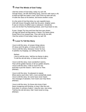# **T**I Feel The Winds of God Today

I feel the winds of God today; today my sail I lift, Though heavy, oft with drenching spray, and torn with many a rift; If hope but light the water's crest, and Christ my bark will use, I'll seek the seas at His behest, and brave another cruise.

It is the wind of God that dries my vain regretful tears, Until with braver thoughts shall rise the purer, brighter years; If cast on shores of selfish ease or pleasure I should be; Lord, let me feel Thy freshening breeze, and I'll put back to sea.

If ever I forget Thy love and how that love was shown, Lift high the blood red flag above; it bears Thy Name alone. Great Pilot of my onward way, Thou wilt not let me drift; I feel the winds of God today, today my sail I lift.

#### **T**I Love To Tell the Story

I love to tell the story, of unseen things above, Of Jesus and His glory, of Jesus and His love. I love to tell the story, because I know 'tis true; It satisfies my longings, as nothing else can do.

 Refrain: I love to tell the story, 'twill be my theme in glory, To tell the old old story, of Jesus and His love.

I love to tell the story; more wonderful it seems, Than all the golden fancies of all our golden dreams. I love to tell the story, it did so much for me; And that is just the reason, I tell it now to Thee. (Refrain)

I love to tell the story; 'tis pleasant to repeat, What seems each time I tell it, more wonderfully sweet. I love to tell the story, for some have never heard The message of salvation, from God's own holy Word. (Refrain)

I love to tell the story, for those who know it best Seem hungering and thirsting, to hear it like the rest. And when, in scenes of glory, I sing the new, new song, 'Twill be the old old story, that I have loved so long. (Refrain)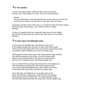## *T*In The Garden

I come to the garden alone, While the dew is still on the roses, And the voice I hear falling on my ear, The Son of God discloses.

 Refrain: And He walks with me, and He talks with me, and He tells me I am His own; And the joy we share as we tarry there, none other has ever known.

He speaks, and the sound of His voice, Is so sweet the birds hush their singing, And the melody that He gave to me, within my heart is ringing. (Refrain)

I'd stay in the garden with Him, though the night around me be falling, But He bids me go through the voice of woe, His voice to me is calling. (Refrain)

#### **<sup><sup>1</sup>/<sub>1</sub><sup>1</sup>/<sub>1</sub> It Came Upon The Midnight Clear**</sup>

It came upon the midnight clear, that glorious song of old, From angels bending near the earth, to touch their harps of gold: "Peace on the earth good will to men, from heaven's all-gracious King." The world in solemn stillness lay, to hear the angels sing.

Still through the cloven skies they come, with peaceful wings unfurled, And still their heavenly music floats, o'er all the weary world; Above its sad and lowly plains, they bend on hovering wing, And ever o'er its Babel sounds, the blessed angels sing.

And ye, beneath life's crushing load, whose forms are bending low, Who toil along the climbing way, with painful steps and slow, Look now! for glad and golden hours, come swiftly on the wing. O rest beside the weary road, and hear the angels sing!

For lo! the days are hastening on, by prophet seen of old, When with the ever-circling years, shall come the time foretold When peace shall over all the earth, its ancient splendors fling, And the whole world send back the song, which now the angels sing.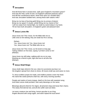# R**Jerusalem**

And did those feet in ancient time, walk upon England's mountains green? And was the Holy Lamb of God, on England's pleasant pastures seen? And did the countenance divine, shine forth upon our clouded hills? And was Jerusalem builded here, among these dark satanic mills?

Bring me my bow of burning gold! Bring me my arrows of desire! Bring me my spear! O clouds, unfold! Bring me my chariot of fire! I will not cease from mental fight, nor shall my sword sleep in my hand, Till we have built Jerusalem, in England's green and pleasant land.

#### **f**<sup>#</sup> Jesus Loves Me

Jesus loves me! This I know, for the Bible tells me so. Little ones to him belong; they are weak but He is strong.

 Refrain: Yes, Jesus loves me! Yes, Jesus loves me! Yes, Jesus loves me! The Bible tells me so.

Jesus loves me! This I know, as He loved so long ago, Taking children on His knee, saying "Let them come to me". (Refrain)

Jesus loves me still today, walking with me on my way, Wanting as a friend to give, light and love to all who live. (Refrain)

## **T** Jesus Shall Reign

Jesus shall reign where'er the sun, does its successive journeys run; His kingdom spread from shore to shore, till moons shall wax and wane no more.

To Jesus endless prayer be made, and endless praises crown His head; His name like sweet perfume shall rise, with every morning sacrifice.

People and realms of every tongue, dwell on His love with sweetest song; And infant voices shall proclaim, their early blessings on His name.

Blessings abound where'er He reigns; all prisoners leap and loose their chains; The weary find eternal rest, and all who suffer want are blest.

Let every creature rise and bring, honors peculiar to our King; Angels descend with songs again, and earth repeat the loud amen!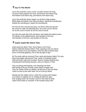# **The World**

Joy to the world the Lord is come! Let earth receive her King; Let every heart prepare him room, and heaven and nature sing, And heaven and nature sing, and heaven and nature sing.

Joy to the world the Savior reigns! Let all their songs employ; While fields and floods rocks hills and plains, repeat the sounding joy, Repeat the sounding joy, repeat the sounding joy.

No more let sins and sorrows grow, nor thorns infest the ground; He comes to make His blessings flow, far as the curse is found, Far as the curse is found, far as the curse is found.

He rules the world with truth and grace, and makes the nations prove The glories of His righteousness, and wonders of His love, And wonders of His love, and wonders of His love.

#### **T** Joyful Joyful We Adore Thee

Joyful joyful we adore Thee, God of glory Lord of love; Hearts unfold like flowers before Thee, opening to the sun above. Melt the clouds of sin and sadness; drive the dark of doubt away. Giver of immortal gladness, fill us with the light of day!

All Thy works with joy surround Thee, earth and heaven reflect Thy rays, Stars and angels sing around Thee, center of unbroken praise. Field and forest vale and mountain, flowery meadow flashing sea, Chanting bird and flowing fountain, call us to rejoice in Thee.

Thou art giving and forgiving, ever blessing ever blest, Well-spring of the joy of living, ocean depth of happy rest! Thou our Father Christ our brother, all who live in love are thine; Teach us how to love each other, lift us to the joy divine.

Mortals join the mighty chorus, which the morning stars began; Love divine is reigning o'er us, binding all within its span. Ever singing march we onward, victors in the midst of strife; Joyful music leads us sunward, in the triumph song of life.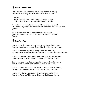## R**Just A Closer Walk**

I am weak but Thou art strong; Jesus, keep me from all wrong; I'll be satisfied as long, as I walk, let me walk close to Thee.

 Refrain: Just a closer walk with Thee, Grant it Jesus is my plea, Daily walking close to Thee, Let it be dear Lord let it be.

Through this world of toil and snares, If I falter, Lord, who cares? Who with me my burden shares? None but Thee dear Lord none but Thee. (Refrain)

When my feeble life is o'er, Time for me will be no more; Guide me gently safely o'er, To Thy kingdom shore to Thy shore. (Refrain)

#### R**Just As I Am**

Just as I am without one plea, but that Thy blood was shed for me, And that thou bidst me come to Thee, O Lamb of God I come, I come.

Just as I am and waiting not, to rid my soul of one dark blot, To Thee whose blood can cleanse each spot, O Lamb of God I come, I come.

Just as I am though tossed about, with many a conflict, many a doubt, Fightings and fears within without, O Lamb of God I come, I come.

Just as I am poor, wretched, blind; sight, riches, healing of the mind, Yea all I need in Thee to find, O Lamb of God I come, I come.

Just as I am thou wilt receive, wilt welcome, pardon, cleanse, relieve; Because Thy promise I believe, O Lamb of God I come, I come.

Just as I am Thy love unknown, hath broken every barrier down; Now to be Thine yea Thine alone, O Lamb of God I come, I come.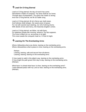# *T* Lead On O King Eternal

Lead on O King eternal, the day of march has come; Henceforth in fields of conquest, Thy tents shall be our home. Through days of preparation, Thy grace has made us strong; And now O King eternal, we lift our battle song.

Lead on O King eternal, till sin's fierce war shall cease, And holiness shall whisper, the sweet amen of peace. For not with swords loud clashing, nor roll of stirring drums; With deeds of love and mercy, the heavenly kingdom comes.

Lead on O King eternal, we follow, not with fears, For gladness breaks like morning, where'er Thy face appears. Thy cross is lifted o'er us, we journey in its light; The crown awaits the conquest; lead on, O God of might.

#### *T* Leaning On The Everlasting Arms

What a fellowship what a joy divine, leaning on the everlasting arms; What a blessedness what a peace is mine, leaning on the everlasting arms.

 Refrain: Leaning, leaning, safe and secure from all alarms; Leaning, leaning, leaning on the everlasting arms.

O how sweet to walk in this pilgrim way, leaning on the everlasting arms; O how bright the path grows from day to day, leaning on the everlasting arms. (Refrain)

What have I to dread what have I to fear, leaning on the everlasting arms? I have blessed peace with my Lord so near, leaning on the everlasting arms. (Refrain)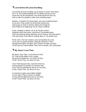# **T** Love Divine All Loves Excelling

Love divine all loves excelling, joy of heaven to earth come down; Fix in us Thy humble dwelling; all Thy faithful mercies crown! Jesus thou art all compassion, pure unbounded love thou art; Visit us with Thy salvation; enter every trembling heart.

Breathe, O breathe Thy loving Spirit, into every troubled breast! Let us all in Thee inherit; let us find that second rest. Take away our bent to sinning; Alpha and Omega be; End of faith as its beginning, set our hearts at liberty.

Come, Almighty to deliver, let us all Thy life receive; Suddenly return and never, nevermore Thy temples leave. Thee we would be always blessing, serve Thee as Thy hosts above, Pray and praise Thee without ceasing, glory in Thy perfect love.

Finish, then, Thy new creation; pure and spotless let us be. Let us see Thy great salvation, perfectly restored in Thee; Changed from glory into glory, till in heaven we take our place, Till we cast our crowns before Thee, lost in wonder, love, and praise.

## **T**<sup>\*</sup> My Jesus I Love Thee

My Jesus I love Thee, I know thou art mine; For Thee all the follies of sin I resign. My gracious Redeemer, my Savior art thou; If ever I loved Thee, my Jesus 'tis now.

I love Thee because thou, hast first loved me, And purchased my pardon on Calvary's tree; I love Thee for wearing the thorns on Thy brow; If ever I loved Thee, my Jesus 'tis now.

In mansions of glory and endless delight; I'll ever adore Thee in heaven so bright; I'll sing with the glittering crown on my brow; If ever I loved Thee, my Jesus 'tis now.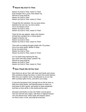## **T** Nearer My God To Thee

Nearer my God to Thee, nearer to Thee! Even though it be a cross, that raiseth me, Still all my song shall be, Nearer my God to Thee; Nearer my God to Thee, nearer to Thee!

Though like the wanderer, the sun gone down, Darkness be over me, my rest a stone; Yet in my dreams I'd be Nearer my God to Thee; Nearer my God to Thee, nearer to Thee!

There let the way appear, steps unto heaven; All that thou sendest me, in mercy given; Angels to beckon me Nearer my God to Thee; Nearer my God to Thee, nearer to Thee!

Then with my waking thoughts bright with Thy praise, Out of my stony griefs, Bethel I'll raise; So by my woes to be Nearer my God to Thee; Nearer my God to Thee, nearer to Thee!

Or if on joyful wing cleaving the sky, Sun moon and stars forgot, upward I fly, Still all my song shall be, Nearer my God to Thee; Nearer my God to Thee, nearer to Thee!

#### **T** Now Thank We All Our God

Now thank we all our God, with heart and hands and voices, Who wondrous things has done, in whom this world rejoices; Who from our mothers' arms, has blessed us on our way With countless gifts of love, and still is ours today.

O may this bounteous God, through all our life be near us, With ever joyful hearts, and blessed peace to cheer us; And keep us still in grace, and guide us when perplexed; And free us from all ills, in this world and the next.

All praise and thanks to God, the Father now be given; The Son and him who reigns, with them in highest heaven; The one eternal God, whom earth and heaven adore; For thus it was, is now, and shall be evermore.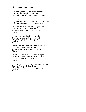## **TO Come All Ye Faithful**

O come all ye faithful, joyful and triumphant, O come ye O come ye, to Bethlehem. Come and behold him, born the King of angels;

Refrain:

- O come let us adore him, O come let us adore him,
- O come let us adore him, Christ the Lord.

True God of true God, Light from Light Eternal, Lo He shuns not, the Virgin's womb; Son of the Father, begotten not created; (Refrain)

Sing, choirs of angels, sing in exultation; O sing all ye citizens of heaven above! Glory to God, all glory in the highest; (Refrain)

See how the shepherds, summoned to His cradle, Leaving their flocks, draw nigh to gaze; We too will thither, bend our joyful footsteps; (Refrain)

Child for us sinners, poor and in the manger, We would embrace Thee, with love and awe. Who would not love Thee, loving us so dearly? (Refrain)

Yea, Lord, we greet Thee, born this happy morning, Jesus to Thee be, all glory given. Word of the Father, now in flesh appearing: (Refrain)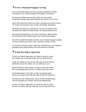## **T**<sup>\*</sup> O For A Thousand Tongues To Sing

O for a thousand tongues to sing, my great Redeemer's praise, The glories of my God and King, the triumphs of His grace!

My gracious Master and my God, assist me to proclaim, To spread through all the earth abroad, the honors of Thy name.

Jesus! the name that charms our fears, that bids our sorrows cease; 'Tis music in the sinner's ears, 'tis life, and health, and peace.

He breaks the power of canceled sin, He sets the prisoner free; His blood can make the foulest clean; His blood availed for me.

He speaks and listening to His voice, new life the dead receive; The mournful broken hearts rejoice, the humble poor believe.

Hear him ye deaf His praise ye dumb, your loosened tongues employ; Ye blind, behold your savior come, and leap, ye lame, for joy.

In Christ your head you then shall know, shall feel your sins forgiven; Anticipate your heaven below, and own that love is heaven.

#### **TO God Our Help In Ages Past**

O God, our help in ages past, our hope for years to come, Our shelter from the stormy blast, and our eternal home.

Under the shadow of Thy throne, still may we dwell secure; Sufficient is thine arm alone, and our defense is sure.

Before the hills in order stood, or earth received her frame, From everlasting thou art God, to endless years the same.

A thousand ages in Thy sight, are like an evening gone; Short as the watch that ends the night, before the rising sun.

Time like an ever rolling stream, bears all who breathe away; They fly forgotten as a dream, dies at the opening day.

O God, our help in ages past, our hope for years to come; Be thou our guide while life shall last, and our eternal home.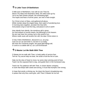# R**O Little Town Of Bethlehem**

O little town of Bethlehem, how still we see Thee lie; Above Thy deep and dreamless sleep, the silent stars go by. Yet in thy dark streets shineth, the everlasting light; The hopes and fears of all the years, are met in thee tonight.

For Christ is born of Mary, and gathered all above, While mortals sleep the angels keep, their watch of wondering love. O morning stars together, proclaim the holy birth, And praises sing to God the king, and peace to all on earth!

How silently how silently, the wondrous gift is given; So God imparts to human hearts, the blessings of His heaven. No ear may hear His coming, but in this world of sin, Where meek souls will receive him still, the dear Christ enters in.

O holy Child of Bethlehem, descend to us, we pray; Cast out our sin and enter in, be born in us today. We hear the Christmas angels, the great glad tidings tell; O come to us abide with us, our Lord Emmanuel!

#### **T** O Master Let Me Walk With Thee

O Master let me walk with Thee, in lowly paths of service free; Tell me Thy secret help me bear, the strain of toil the fret of care.

Help me the slow of heart to move, by some clear winning word of love; Teach me the wayward feet to stay, and guide them in the homeward way.

Teach me Thy patience still with Thee, in closer dearer company, In work that keeps faith sweet and strong, in trust that triumphs over wrong;

In hope that sends a shining ray, far down the future's broadening way, In peace that only thou canst give, with Thee O Master let me live.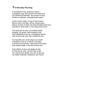## R**O Worship The King**

O worship the King, all glorious above, O gratefully sing, God's power and God's love; Our Shield and Defender, the Ancient of Days, Pavilion in splendor, and girded with praise.

O tell of God's might, O sing of God's grace, Whose robe is the light, whose canopy space, Whose chariots of wrath, the deep thunderclouds form, And dark is God's path, on the wings of the storm.

The earth with its store, of wonders untold, Almighty Thy power, hath founded of old; Hath stablished it fast, by a changeless decree, And round it hath cast, like a mantle the sea.

Thy bountiful care, what tongue can recite? It breathes in the air, it shines in the light; It streams from the hills, it descends to the plain, And sweetly distills in the dew and the rain.

Frail children of dust, and feeble as frail, In Thee do we trust, nor find Thee to fail; Thy mercies how tender, how firm to the end, Our Maker Defender, Redeemer and Friend.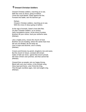## R**Onward Christian Soldiers**

Onward Christian soldiers, marching as to war, With the cross of Jesus, going on before. Christ the royal Master, leads against the foe; Forward into battle, see His banners go!

 Refrain: Onward, Christian soldiers, marching as to war, With the cross of Jesus going on before.

At the sign of triumph, Satan's host doth flee; On then Christian soldiers, on to victory! Hell's foundations quiver, at the shout of praise; Brothers lift your voices, loud your anthems raise. (Refrain)

Like a mighty army, moves the church of God; Brothers we are treading, where the saints have trod. We are not divided, all one body we, One in hope and doctrine, one in charity. (Refrain)

Crowns and thrones my perish, kingdoms rise and wane, But the church of Jesus, constant will remain. Gates of hell can never, 'gainst that church prevail; We have Christ's own promise, and that cannot fail. (Refrain)

Onward then ye people, join our happy throng, Blend with ours your voices, in the triumph song. Glory laud and honor, unto Christ the King, This through countless ages, men and angels sing. (Refrain)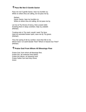## *T* Pass Me Not O Gentle Savior

Pass me not O gentle Savior, hear my humble cry; While on others thou art calling, do not pass me by.

 Refrain: Savior Savior, hear my humble cry; While on others thou art calling, do not pass me by.

Let me at Thy throne of mercy, find a sweet relief, Kneeling there in deep contrition; help my unbelief. (Refrain)

Trusting only in Thy merit, would I seek Thy face; Heal my wounded broken spirit, save me by Thy grace. (Refrain)

Thou the spring of all my comfort, more than life to me, Whom have I on earth beside Thee? Whom in heaven but Thee? (Refrain)

## **f** Praise God From Whom All Blessings Flow

Praise God, from whom all blessings flow; Praise him, all creatures here below; Praise him above, ye heavenly host; Praise Father Son and Holy Ghost. Amen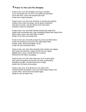## *T* Praise To The Lord The Almighty

Praise to the Lord, the Almighty, the King of creation! O my soul praise Him, for He is Thy health and salvation! All ye who hear, now to His temple draw near; Praise Him in glad adoration.

Praise to the Lord, who over all things so wondrously reigneth, Shelters thee under His wings, yea so gently sustaineth! Hast thou not seen, how thy desires ever have been, Granted in what He ordaineth?

Praise to the Lord, who hath fearfully wondrously made thee; Health hath vouchsafed and, when heedlessly falling hath stayed thee. What need or grief, ever hath failed of relief? Wings of His mercy did shade thee.

Praise to the Lord, who doth prosper thy work and defend thee; Surely His goodness and mercy here daily attend thee. Ponder anew, what the Almighty can do, If with His love He befriend thee.

Praise to the Lord, who when tempests their warfare are waging, Who when the elements, madly around thee are raging, Biddeth them cease, turneth their fury to peace, Whirlwinds and waters assuaging.

Praise to the Lord, who when darkness of sin is abounding, Who when the godless do triumph, all virtue confounding, Sheddeth His light, chaseth the horrors of night, Saints with His mercy surrounding.

Praise to the Lord, O let all that is in me adore Him! All that hath life and breath, come now with praises before Him. Let the Amen, sound from His people again, Gladly for aye we adore Him.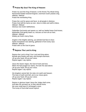## *T* Praise My Soul The King of Heaven

Praise my soul the King of heaven, to the throne Thy tribute bring; Ransomed healed restored forgiven, evermore God's praises sing. Alleluia! Alleluia! Praise the everlasting King.

Praise the Lord for grace and favor, to all people in distress; Praise God still the same as ever, slow to chide and swift to bless. Alleluia! Alleluia! Glorious now God's faithfulness.

Fatherlike God tends and spares us; well our feeble frame God knows; Motherlike God gently bears us, rescues us from all our foes. Alleluia! Alleluia! Widely yet God's mercy flows.

Angels in the heights adoring, you behold God face to face; Saints triumphant now adoring, gathered in from every race. Alleluia! Alleluia! Praise with us the God of grace.

#### **T** Rejoice The Lord Is King

Rejoice the Lord is King! Your Lord and King adore; Mortals give thanks and sing, and triumph evermore. Lift up your heart, lift up your voice; Rejoice again I say rejoice.

Jesus the Savior reigns, the God of truth and love; When He had purged our stains, He took His seat above. Lift up your heart, lift up your voice; Rejoice again I say rejoice.

His kingdom cannot fail; He rules o'er earth and heaven; The keys of earth and hell, are to our Jesus given. Lift up your heart, lift up your voice; Rejoice again I say rejoice.

Rejoice in glorious hope! Jesus the Judge shall come, And take His servants up, to their eternal home. We soon shall hear th' archangel's voice; The trump of God shall sound rejoice!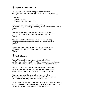## **T** Rejoice Ye Pure In Heart

Rejoice ye pure in heart; rejoice give thanks and sing; Your glories banner wave on high, the cross of Christ your King.

 Refrain: Rejoice, rejoice, Rejoice, give thanks and sing.

Your clear hosannas raise, and alleluias loud; Whilst answering echoes upward float, like wreaths of incense cloud. (Refrain)

Yes, on through life's long path, still chanting as ye go; From youth to age by night and day, in gladness and in woe. (Refrain)

At last the march shall end; the wearied ones shall rest; The pilgrims find their heavenly home, Jerusalem the blest. (Refrain)

Praise God who reigns on high, the Lord whom we adore, The Father Son and Holy Ghost, one God forevermore. (Refrain)

# **f** Rock Of Ages

Rock of Ages cleft for me, let me hide myself in Thee; Let the water and the blood, from Thy wounded side which flowed, Be of sin the double cure; save from wrath and make me pure.

Not the labors of my hands, can fulfill Thy law's commands; Could my zeal no respite know, could my tears forever flow, All for sin could not atone; thou must save and thou alone.

Nothing in my hand I bring, simply to the cross I cling; Naked come to Thee for dress; helpless look to the for grace; Foul I to the fountain fly; wash me Savior or I die.

While I draw this fleeting breath, when mine eyes shall close in death, When I soar to worlds unknown, see Thee on Thy judgment throne, Rock of Ages cleft for me, let me hide myself in Thee.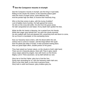## **T**<sup>3</sup> See the Conqueror mounts in triumph

See the Conqueror mounts in triumph; see the King in royal state, Riding on the clouds His chariot, to His heavenly palace gate! Hark the choirs of angel voices, joyful alleluias sing, And the portals high are lifted, to receive their heavenly King.

Who is this that comes in glory, with the trump of jubilee? Lord of battles God of armies, He hath gained the victory. He who on the cross did suffer, He who from the grave arose, He hath vanquished sin and Satan; He by death hath spoiled His foes.

While He lifts His hands in blessing, He is parted from His friends; While their eager eyes behold Him, He upon the clouds ascends. He who walked with God and pleased Him, preaching truth and doom to come, He our Enoch is translated, to His everlasting home.

Now our heavenly Aaron enters, with His blood within the veil, Joshua now is come to Canaan, and the kings before Him quail. Now He plants the tribes of Israel, in their promised resting place; Now our great Elijah offers, double portion of His grace.

Thou hast raised our human nature, on the clouds to God's right hand; There we sit in heavenly places, there with Thee in glory stand. Jesus reigns adored by angels; man with God is on the throne. Mighty Lord in Thine ascension, we by faith behold our own.

Glory be to God the Father; glory be to God the Son, Dying risen ascending for us, who the heavenly realm hath won; Glory to the Holy Spirit, to one God in persons three, Glory both in earth and heaven, glory endless glory be.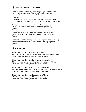## *T* Shall We Gather At The River

Shall we gather at the river, where bright angel feet have trod, With its crystal tide forever, flowing by the throne of God?

 Refrain: Yes we'll gather at the river, the beautiful the beautiful river; Gather with the saints at the river, that flows by the throne of God.

On the margin of the river, washing up its silver spray, We will walk and worship ever, all the happy golden day. (Refrain)

Ere we reach the shining river, lay we every burden down; Grace our spirits will deliver, and provide a robe and crown. (Refrain)

Soon we'll reach the shining river, soon our pilgrimage will cease; Soon our happy hearts will quiver, with the melody of peace. (Refrain)

# **T** Silent Night

Silent night, holy night, all is calm, all is bright, Round yon virgin mother and child. Holy infant, so tender and mild, Sleep in heavenly peace, sleep in heavenly peace.

Silent night, holy night, shepherds quake at the sight; Glories stream from heaven afar, heavenly hosts sing Alleluia! Christ the Savior is born, Christ the Savior is born!

Silent night, holy night, Son of God, love's pure light; Radiant beams from Thy holy face, with the dawn of redeeming grace, Jesus, Lord, at Thy birth, Jesus, Lord, at Thy birth.

Silent night, holy night, wondrous star, lend Thy light; With the angels let us sing, Alleluia to our King; Christ the Savior is born, Christ the Savior is born!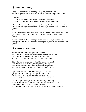## **T** Softly And Tenderly

Softly and tenderly Jesus is calling, calling for you and for me; See on the portals He's waiting and watching, watching for you and for me.

 Refrain: Come home, come home; ye who are weary come home; Earnestly tenderly Jesus is calling, calling O sinner come home!

Why should we tarry when Jesus is pleading, pleading for you and for me? Why should we linger and heed not His mercies, mercies for you and for me? (Refrain)

Time is now fleeting, the moments are passing, passing from you and from me; Shadows are gathering deathbeds are coming, coming for you and for me. (Refrain)

O for the wonderful love He has promised, promised for you and for me! Though we have sinned He has mercy and pardon, pardon for you and for me. (Refrain)

#### **T** Soldiers Of Christ Arise

Soldiers of Christ arise, and put your armor on, Strong in the strength which God supplies, thru His eternal Son; Strong in the Lord of Hosts, and in His mighty power, Who in the strength of Jesus trusts, is more than conqueror.

Stand then in His great might, with all His strength endued, But take to arm you for the fight, the panoply of God; That having all things done, and all your conflicts passed, Ye may o'ercome thru Christ alone, and stand entire at last.

Pray without ceasing, pray, your Captain gives the word, His summons cheerfully obey, and call upon the Lord; To God your every want, in instant prayer display, Pray always pray and never faint, pray without ceasing pray.

From strength to strength go on, wrestle and fight and pray, Tread all the powers of darkness down, and win the well-fought day. Still let the Spirit cry, in all His soldiers "Come!" Till Christ the Lord descends from high, and takes the conquerors home.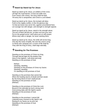## **T** Stand Up Stand Up For Jesus

Stand up stand up for Jesus, ye soldiers of the cross; Lift high His royal banner, it must not suffer loss. From victory unto victory, His army shall He lead, Till every foe is vanquished, and Christ is Lord indeed.

Stand up stand up for Jesus, the trumpet call obey; Forth to the mighty conflict, in this His glorious day. Ye that are brave now serve him, against unnumbered foes; Let courage rise with danger, and strength to strength oppose.

Stand up stand up for Jesus, stand in His strength alone; The arm of flesh will fail you, ye dare not trust your own. Put on the gospel armor, each piece put on with prayer; Where duty calls or danger, be never wanting there.

Stand up stand up for Jesus, the strife will not be long; This day the noise of battle, the next the victor's song. To those who vanquish evil, a crown of life shall be; They with the King of Glory, shall reign eternally.

#### **T** Standing On The Promises

Standing on the promises of Christ my King, Through eternal ages let His praises ring; Glory in the highest, I will shout and sing, Standing on the promises of God.

 Refrain: Standing, standing, Standing on the promises of Christ my Savior; Standing, standing, I'm standing on the promises of God.

Standing on the promises that cannot fail, When the howling storms of doubt and fear assail, By the living Word of God I shall prevail, Standing on the promises of God. (Refrain)

Standing on the promises of Christ the Lord, Bound to him eternally by love's strong cord, Overcoming daily with the Spirit's sword, Standing on the promises of God. (Refrain)

Standing on the promises I cannot fall, Listening every moment to the Spirit's call, Resting in my Savior as my all in all, Standing on the promises of God. (Refrain)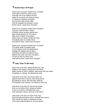## **T** Sweet Hour Of Prayer

Sweet hour of prayer! Sweet hour of prayer! That calls me from a world of care, And bids me at my Father's throne Make all my wants and wishes known. In seasons of distress and grief, My soul has often found relief, And oft escaped the tempter's snare By thy return, sweet hour of prayer!

Sweet hour of prayer! Sweet hour of prayer! The joys I feel the bliss I share Of those whose anxious spirits burn With strong desires for Thy return! With such I hasten to the place Where God my Savior shows His face, And gladly take my station there, And wait for thee, sweet hour of prayer!

Sweet hour of prayer! Sweet hour of prayer! Thy wings shall my petition bear To Him whose truth and faithfulness Engage the waiting soul to bless. And since He bids me seek His face, Believe His word, and trust His grace, I'll cast on him my every care, And wait for thee, sweet hour of prayer!

## **Take Time To Be Holy**

Take time to be holy, speak oft with thy Lord; Abide in Him always, and feed on His Word. Make friends of God's children, help those who are weak, Forgetting in nothing, His blessing to seek.

Take time to be holy, the world rushes on; Spend much time in secret, with Jesus alone. By looking to Jesus, like Him thou shalt be; Thy friends in thy conduct, His likeness shall see.

Take time to be holy, let Him be thy Guide; And run not before Him, whatever betide. In joy or in sorrow, still follow the Lord, And, looking to Jesus, still trust in His Word.

Take time to be holy, be calm in thy soul, Each thought and each motive, beneath His control. Thus led by His Spirit, to fountains of love, Thou soon shalt be fitted, for service above.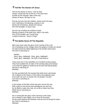## R**Tell Me The Stories Of Jesus**

Tell me the stories of Jesus, I love to hear; Things I would ask him to tell me, if He were here: Scenes by the wayside, tales of the sea, Stories of Jesus, tell them to me.

First let me hear how the children, stood round His knee, And I shall fancy His blessing, resting on me; Words full of kindness, deeds full of grace, All in the lovelight, of Jesus' face.

Into the city I'd follow the children's band, Waving a branch of the palm tree, high in my hand; One of His heralds, yes I would sing Loudest hosannas, "Jesus is King!"

#### **T**<sup>#</sup> The Battle Hymn Of The Republic

Mine eyes have seen the glory of the coming of the Lord; He is trampling out the vintage where the grapes of wrath are stored; He hath loosed the fateful lightning of His terrible swift sword; His truth is marching on.

 Refrain: Glory, glory, hallelujah! Glory, glory, hallelujah! Glory, glory, hallelujah! His truth is marching on.

I have seen him in the watchfires of a hundred circling camps, They have builded him an altar in the evening dews and damps; I can read His righteous sentence by the dim and flaring lamps; His day is marching on. (Refrain)

He has sounded forth the trumpet that shall never call retreat; He is sifting out the hearts of men before His judgment seat; O be swift, my soul, to answer him; be jubilant, my feet! Our God is marching on. (Refrain)

In the beauty of the lilies Christ was born across the sea, With a glory in His bosom that transfigures you and me; As He died to make men holy, let us die to make men free, While God is marching on. (Refrain)

He is coming like the glory of the morning on the wave, He is wisdom to the mighty, He is honor to the brave; So the world shall be His footstool, and the soul of wrong His slave. Our God is marching on. (Refrain)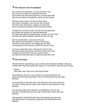# **The Church's One Foundation**

The church's one foundation, is Jesus Christ her Lord; She is His new creation, by water and the Word. From heaven He came and sought her, to be His holy bride; With His own blood He bought her, and for her life He died.

Elect from every nation, yet one o'er all the earth; Her charter of salvation, one Lord one faith one birth; One holy name she blesses, partakes one holy food, And to one hope she presses, with every grace endued.

Though with a scornful wonder, we see her sore oppressed, By schisms rent asunder, by heresies distressed, Yet saints their watch are keeping; their cry goes up "How long?" And soon the night of weeping, shall be the morn of song.

Mid toil and tribulation, and tumult of her war, She waits the consummation, of peace forevermore; Till with the vision glorious, her longing eyes are blest, And the great church victorious, shall be the church at rest.

Yet she on earth hath union, with God the Three in One, And mystic sweet communion, with those whose rest is won. O happy ones and holy! Lord give us grace that we Like them the meek and lowly, on high may dwell with Thee.

## **The First Noel**

The first Noel the angel did say, was to certain poor shepherds in fields as they lay; In fields where they lay keeping their sheep, on a cold winter's night that was so deep.

 Refrain: Noel, Noel, Noel, Noel, born is the King of Israel.

They looked up and saw a star, shining in the east beyond them far; And to the earth it gave great light, and so it continued both day and night. (Refrain)

And by the light of that same star, three Wise Men came from country far; To seek for a king was their intent, and to follow the star wherever it went. (Refrain)

This star drew nigh to the northwest, o'er Bethlehem it took its rest; And there it did both stop and stay, right over the place where Jesus lay. (Refrain)

Then entered in those Wise Men three, full reverently upon the knee, And offered there in His presence, gold and myrrh and frankincense. (Refrain)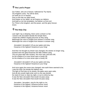# **The Lord's Prayer**

Our Father, who art in heaven, hallowed be Thy Name. Thy kingdom come, Thy will be done, On earth as it is in heaven. Give us this day our daily bread, And forgive us our debts, as we forgive our debtors. And lead us not into temptation, but deliver us from evil. For Thine is the kingdom, and the power, and the glory forever. Amen.

# **सैं** The Holy City

Last night I lay a-sleeping, there came a dream so fair, I stood in old Jerusalem beside the temple there. I heard the children singing and ever as they sang, Methought the voice of angels from heaven in answer rang. Methought the voice of angels from heaven in answer rang.

 Jerusalem! Jerusalem! Lift up your gates and sing, Hosanna in the highest! Hosanna to your King!

And then me thought my dream was changed, the streets no longer rang, Hushed were the glad Hosannas the little children sang. The sun grew dark with mystery, the morn was cold and chill, As the shadow of a cross arose upon a lonely hill. As the shadow of a cross arose upon a lonely hill.

 Jerusalem! Jerusalem! Lift up your gates and sing, Hosanna in the highest! Hosanna to your King!

And once again the scene was changed; new earth there seemed to be; I saw the Holy City beside the tideless sea; The light of God was on its streets, the gates were open wide, And all who would might enter and no one was denied. No need of moon or stars by night, or sun to shine by day; It was the New Jerusalem that would not pass away. It was the New Jerusalem that would not pass away.

 Jerusalem, Jerusalem, sing for the night is o'er, Hosanna in the highest, Hosanna forever more! Hosanna in the highest, Hosanna forever more!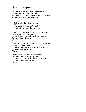## **The Old Rugged Cross**

On a hill far away, stood an old rugged cross, The emblem of suffering and shame; And I love that old cross, where the dearest and best, For a world of lost sinners was slain.

 Refrain: So I'll cherish the old rugged cross, Till my trophies at last I lay down; I will cling to the old rugged cross, And exchange it some day for a crown.

O that old rugged cross, so despised by the world, Has a wondrous attraction for me; For the dear Lamb of God, left His glory above, To bear it to dark Calvary. (Refrain)

In that old rugged cross, stained with blood so divine, A wondrous beauty I see, For 'twas on that old cross, Jesus suffered and died, To pardon and sanctify me. (Refrain)

To that old rugged cross I will ever be true, It's shame and reproach gladly bear; Then He'll call me some day, to my home far away, Where His glory forever I'll share. (Refrain)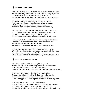## **There Is A Fountain**

There is a fountain filled with blood, drawn from Emmanuel's veins; And sinners plunged beneath that flood, lose all their guilty stains. Lose all their guilty stains, lose all their guilty stains; And sinners plunged beneath that flood, lose all their guilty stains.

The dying thief rejoiced to see, that fountain in his day; And there may I though vile as he, wash all my sins away. Wash all my sins away, wash all my sins away; And there may I though vile as he, wash all my sins away.

Dear dying Lamb Thy precious blood, shall never lose its power Till all the ransomed church of God, be saved to sin no more. Be saved, to sin no more, be saved, to sin no more; Till all the ransomed church of God, be saved to sin no more.

E'er since, by faith I saw the stream, Thy flowing wounds supply, Redeeming love has been my theme, and shall be till I die. And shall be till I die, and shall be till I die; Redeeming love has been my theme, and shall be till I die.

Then in a nobler sweeter song, I'll sing Thy power to save, When this poor lisping stammering tongue, lies silent in the grave. Lies silent in the grave, lies silent in the grave; When this poor lisping stammering tongue, lies silent in the grave.

#### **This Is My Father's World**

This is my Father's world, and to my listening ears, All nature sings and round me rings, the music of the spheres. This is my Father's world; I rest me in the thought, Of rocks and trees of skies and seas; His hand the wonders wrought.

This is my Father's world, the birds their carols raise, The morning light the lily white, declare their maker's praise. This is my Father's world; He shines in all that's fair; In the rustling grass I hear him pass; He speaks to me everywhere.

This is my Father's world. O let me ne'er forget, That though the wrong seems oft so strong, God is the ruler yet. This is my Father's world, why should my heart be sad? The Lord is King let the heavens ring! God reigns let the earth be glad!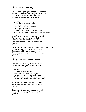# **To God Be The Glory**

To God be the glory, great things He hath done! So loved He the world that He gave us His Son, Who yielded His life an atonement for sin, And opened the lifegate that all may go in.

 Refrain: Praise the Lord, praise the Lord, Let the earth hear His voice! Praise the Lord, praise the Lord, Let the people rejoice! O come to the Father thru Jesus the Son, And give him the glory, great things He hath done!

O perfect redemption, the purchase of blood, To every believer the promise of God; The vilest offender who truly believes, That moment from Jesus a pardon receives. (Refrain)

Great things He hath taught us, great things He hath done, And great our rejoicing thru Jesus the Son; But purer and higher and greater will be, Our wonder our transport when Jesus we see. (Refrain)

## **T** Up From The Grave He Arose

Low in the grave He lay, Jesus my Savior, Waiting the coming day, Jesus my Lord!

 Refrain: Up from the grave He arose; With a mighty triumph o'er His foes; He arose a victor from the dark domain, And He lives forever, with His saints to reign. He arose! He arose! Hallelujah! Christ arose!

Vainly they watch His bed, Jesus my Savior, Vainly they seal the dead, Jesus my Lord! (Refrain)

Death cannot keep its prey, Jesus my Savior; He tore the bars away, Jesus my Lord! (Refrain)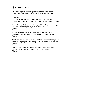## **T** We Three Kings

We three kings of Orient are; bearing gifts we traverse afar, Field and fountain moor and mountain, following yonder star.

Refrain:

 O star of wonder, star of light, star with royal beauty bright, Westward leading still proceeding, guide us to Thy perfect light.

Born a King on Bethlehem's plain, gold I bring to crown him again, King forever ceasing never, over us all to reign. (Refrain)

Frankincense to offer have I; incense owns a Deity nigh; Prayer and praising voices raising, worshiping God on high. (Refrain)

Myrrh is mine; its bitter perfume, breathes a life of gathering gloom; Sorrowing sighing bleeding dying, sealed in the stone-cold tomb. (Refrain)

Glorious now behold him arise; King and God and sacrifice: Alleluia Alleluia, sounds through the earth and skies. (Refrain)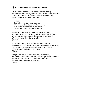## **T** We'll Understand It Better By And By

We are tossed and driven, on the restless sea of time; Somber skies and howling tempests, oft succeed a bright sunshine; In that land of perfect day, when the mists are rolled away, We will understand it better by and by.

 Refrain: By and by, when the morning comes, When the saints of God are gathered home, We'll tell the story how we've overcome, For we'll understand it better by and by.

We are often destitute, of the things that life demands, Want of food and want of shelter, thirsty hills and barren lands; We are trusting in the Lord, and according to God's word, We will understand it better by and by. (Refrain)

Trials dark on every hand, and we cannot understand All the ways of God would lead us, to that blessed promised land; But He guides us with His eye, and we'll follow till we die, For we'll understand it better by and by. (Refrain)

Temptations hidden snares, often take us unawares, And our hearts are made to bleed, for a thoughtless word or deed; And we wonder why the test, when we try to do our best, But we'll understand it better by and by. (Refrain)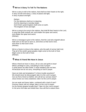## **T** We've A Story To Tell To The Nations

We've a story to tell to the nations, that shall turn their hearts to the right, A story of truth and mercy, a story of peace and light, A story of peace and light.

 Refrain: For the darkness shall turn to dawning, And the dawning to noonday bright; And Christ's great kingdom shall come on earth, The kingdom of love and light.

We've a song to be sung to the nations, that shall lift their hearts to the Lord, A song that shall conquer evil, and shatter the spear and sword, And shatter the spear and sword. (Refrain)

We've a message to give to the nations, that the Lord who reigneth above Hath sent us His Son to save us, and show us that God is love, And show us that God is love. (Refrain)

We've a Savior to show to the nations, who the path of sorrow hath trod, That all of the world's great peoples might come to the truth of God, Might come to the truth of God. (Refrain)

#### **T** What A Friend We Have In Jesus

What a friend we have in Jesus, all our sins and griefs to bear! What a privilege to carry, everything to God in prayer! O what peace we often forfeit, O what needless pain we bear, All because we do not carry, everything to God in prayer.

Have we trials and temptations? Is there trouble anywhere? We should never be discouraged; take it to the Lord in prayer. Can we find a friend so faithful, who will all our sorrows share? Jesus knows our every weakness; take it to the Lord in prayer.

Are we weak and heavy laden, cumbered with a load of care? Precious Savior still our refuge; take it to the Lord in prayer. Do thy friends despise forsake thee? Take it to the Lord in prayer! In His arms He'll take and shield thee; thou wilt find a solace there.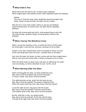## *T* What Child Is This

What child is this who laid to rest, on Mary's lap is sleeping? Whom angels greet, with anthems sweet, while shepherds watch are keeping?

 Refrain: This, this is Christ the King, whom shepherds guard and angels sing; Haste, haste to bring Him laud, the babe, the son of Mary.

Why lies He in such mean estate, where ox and ass are feeding? Good Christians fear, for sinners here, the silent Word is pleading. (Refrain)

So bring Him incense gold and myrrh, come peasant king to own Him; The King of kings, salvation brings, let loving hearts enthrone Him. (Refrain)

#### **T**<sup>\*</sup>When I Survey The Wondrous Cross

When I survey the wondrous cross, on which the Prince of Glory died; My richest gain I count but loss, and pour contempt on all my pride.

Forbid it, Lord, that I should boast, save in the death of Christ, my God; All the vain things that charm me most, I sacrifice them to His blood.

See, from His head, His hands, His feet, sorrow and love flow mingled down. Did e'er such love and sorrow meet, or thorns compose so rich a crown.

Were the whole realm of nature mine, that were an offering far too small; Love so amazing, so divine, demands my soul, my life, my all.

#### **T** When Morning Gilds The Skies

When morning gilds the skies, my heart awakening cries, May Jesus Christ be praised! Like at work and prayer, To Jesus I repair, may Jesus Christ be praised!

The night becomes as day, when from the heart we say, May Jesus Christ be praised! The powers of darkness fear, When this sweet chant they hear, May Jesus Christ be praised!

Let all the earth around, ring joyous with the sound, May Jesus Christ be praised! In heaven's eternal bliss, The loveliest strain is this, May Jesus Christ be praised!

Be this, while life is mine, my canticle divine, May Jesus Christ be praised! Be this the' eternal song, Through all the ages long, May Jesus Christ be praised!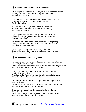## R**While Shepherds Watched Their Flocks**

While shepherds watched their flocks by night, all seated on the ground; The angel of the Lord came down, and glory shone around, And glory shone around.

"Fear not!" said he for mighty dread, had seized their troubled mind. "Glad tidings of great joy I bring, to all of humankind, To all of humankind".

"To you, in David's town, this day, is born of David's line, A Savior who is Christ the Lord, and this shall be the sign, And this shall be the sign:"

"The heavenly babe you there shall find, to human view displayed, All meanly wrapped in swathing bands, and in a manger laid, And in a manger laid."

Thus spake the seraph and forthwith, appeared a shining throng, Of angels praising God on high, who thus addressed their song, Who thus addressed their song:

"All glory be to God on high, and to the earth be peace; Good will henceforth from heaven to earth, begin and never cease, Begin and never cease!"

#### **T** Ye Watchers And Ye Holy Ones

Ye watchers and ye holy ones, bright seraphs, cherubim, and thrones, Raise the glad strain, Alleluia! Cry out, dominions, princedoms, powers, virtues, archangels, angels' choirs: Alleluia! Alleluia! Alleluia! Alleluia! Alleluia!

O higher than the cherubim, more glorious than the seraphim, Lead their praises, Alleluia! Thou bearer of the' eternal Word, most gracious, magnify the Lord: Alleluia! Alleluia! Alleluia! Alleluia! Alleluia!

Respond, ye souls in endless rest, ye patriarchs and prophets blest, Alleluia! Alleluia! Ye holy twelve, ye martyrs strong, all saints triumphant, raise the song: Alleluia! Alleluia! Alleluia! Alleluia! Alleluia!

O friends, in gladness let us sing, supernal anthems echoing, Alleluia! Alleluia! To God the Father, God the Son, and God the Spirit, Three in One: Alleluia! Alleluia! Alleluia! Alleluia! Alleluia!



} **muy buen camino … [El Camino Santiago](http://www.elcaminosantiago.com/)**